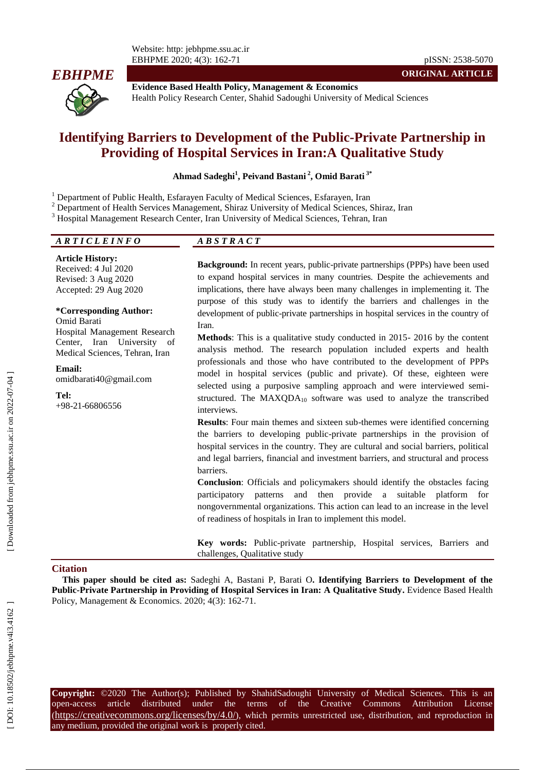Website: http: jebhpme.ssu.ac.ir EBHPME 2020; 4(3): 162 -71 pISSN: 2538 -5070



**Evidence Based Health Policy, Management & Economics** Health Policy Research Center, Shahid Sadoughi University of Medical Sciences

# **Identifying Barriers to Development of the Public - Private Partnership in Providing of Hospital Services in Iran:A Qualitative Study**

**Ahmad Sadeghi 1 , Peivand Bastani 2 , Omid Barati 3\***

<sup>1</sup> Department of Public Health, Esfarayen Faculty of Medical Sciences, Esfarayen, Iran<br><sup>2</sup> Department of Health Services Management, Shiraz University of Medical Sciences, Shiraz, Iran<br><sup>3</sup> Hospital Management Research Ce

| ARTICLEINFO | $\sim$ $\sim$<br>$A \boldsymbol{\nu} \boldsymbol{\nu}$ |  |  |  |
|-------------|--------------------------------------------------------|--|--|--|
|             |                                                        |  |  |  |

**Article History:** Received: 4 Jul 2020 Revised: 3 Aug 2020 Accepted: 2 9 Aug 2020

#### **\*Corresponding Author:**

Omid Barati Hospital Management Research Center, Iran University of Medical Sciences, Tehran, Iran

**Email:** omidbarati40@gmail.com

**Tel:** +98 -21 -66806556

Background: In recent years, public-private partnerships (PPPs) have been used to expand hospital services in many countries. Despite the achievements and implications, there have always been many challenges in implementing it. The purpose of this study was to identify the barriers and challenges in the development of public -private partnerships in hospital services in the country of Iran.

**ORIGINAL ARTICLE**

**Methods**: This is a qualitative study conducted in 2015 - 2016 by the content analysis method. The research population included experts and health professionals and those who have contributed to the development of PPPs model in hospital services (public and private). Of these, eighteen were selected using a purposive sampling approach and were interviewed semi structured. The  $MAXQDA_{10}$  software was used to analyze the transcribed interviews.

**Results**: Four main themes and sixteen sub -themes were identified concerning the barriers to developing public -private partnerships in the provision of hospital services in the country. They are cultural and social barriers, political and legal barriers, financial and investment barriers, and structural and process barriers.

**Conclusion**: Officials and policymakers should identify the obstacles facing participatory patterns and then provide a suitable platform for nongovernmental organizations. This action can lead to an increase in the level of readiness of hospitals in Iran to implement this model.

**Key words:** Public -private partnership, Hospital services, Barriers and challenges, Qualitative study

#### **Citation**

**This paper should be cited as:** Sadeghi A, Bastani P, Barati O**. Identifying Barriers to Development of the Public -Private Partnership in Providing of Hospital Services in Iran: A Qualitative Study .** Evidence Based Health Policy, Management & Economics. 2020; 4(3): 162-71.

**Copyright:** ©2020 The Author(s); Published by ShahidSadoughi University of Medical Sciences. This is an open-access -access article distributed under the terms of the Creative Commons Attribution License (https://creativecommons.org/licenses/by/4.0/), which permits unrestricted use, distribution, and reproduction in any medium, provided the original work is properly cited.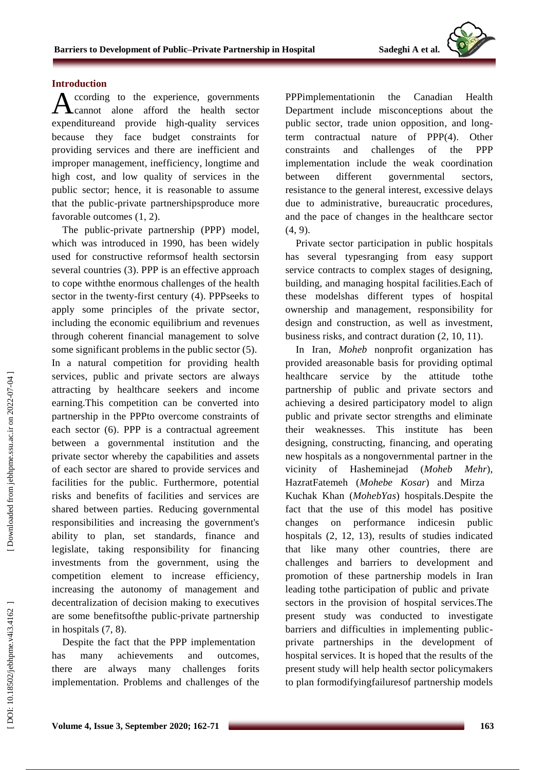### **Introduction**

ccording to the experience , governments cannot alone afford the health sector expenditureand provide high -quality services because they face budget constraints for providing services and there are inefficient and improper management, inefficiency, longtime and high cost, and low quality of service s in the public sector; hence, it is reasonable to assume that the public -private partnership sproduce more favorable outcomes (1, 2). A

The public -private partnership (PPP) model, which was introduced in 1990, has been widely used for constructive reform sof health sector sin several countries (3). PPP is an effective approach to cope withthe enormous challenges of the health sector in the twenty -first century ( 4). PPPseeks to apply some principles of the private sector , including the economic equilibrium and revenues through coherent financial management to solve some significant problems in the public sector ( 5). In a natural competition for providing health services, public and private sectors are always attracting by healthcare seekers and income earning.This competition can be converted into partnership in the PPPto overcome constraints of each sector ( 6). PPP is a contractual agreement between a governmental institution and the private sector whereby the capabilities and assets of each sector are shared to provide services and facilities for the public . Furthermore, potential risks and benefits of facilities and services are shared between parties. Reducing governmental responsibilities and increasing the government's ability to plan, set standards, finance and legislate, taking responsibility for financing investments from the government, using the competition element to increase efficiency, increasing the autonomy of management and decentralization of decision making to executive s are some benefitsofthe public -private partnership in hospital s (7, 8).

Despite the fact that the PPP implementation has many achievements and outcomes, there are always many challenges forits implementation . Problems and challenges of the PPPimplementationin the Canadian Health Department include misconceptions about the public sector, trade union opposition , and long term contractual nature of PPP( 4). Other constraints and challenges of the PPP implementation include the weak coordination between different governmental sectors, resistance to the general interest, excessive delays due to administrative , bureaucratic procedures, and the pace of change s in the healthcare sector  $(4, 9)$ .

Private sector participation in public hospitals has several typesranging from easy support service contracts to complex stages of designing, building, and managing hospital facilities.Each of these modelshas different type s of hospital ownership and management, responsibility for design and construction , as well as investment, business risks , and contract duration (2, 10, 11).

In Iran, *Moheb* nonprofit organization has provided areasonable basis for providing optimal healthcare service by the attitude tothe partnership of public and private sector s and achieving a desired participatory model to align public and private sector strengths and eliminate their weaknesses. This institute has been designing, constructing, financing, and operating new hospitals as a nongovernmental partner in the vicinity of Hasheminejad (*Moheb Meh Mehr*). HazratFatemeh (*Moheb e Kosar*) and Mirza Kuchak Khan (*MohebYas* ) hospitals.Despite the fact that the use of this model has positive changes on performance indicesin public hospitals  $(2, 12, 13)$ , results of studies indicated that like many other countries, there are challenges and barriers to development and promotion of these partnership models in Iran leading tothe participation of public and private sectors in the provision of hospital services.The present study was conducted to investigate barriers and difficulties in implementing public private partnership s in the development of hospital services. It is hoped that the results of the present study will help health sector policymakers to plan formodifyingfailuresof partnership models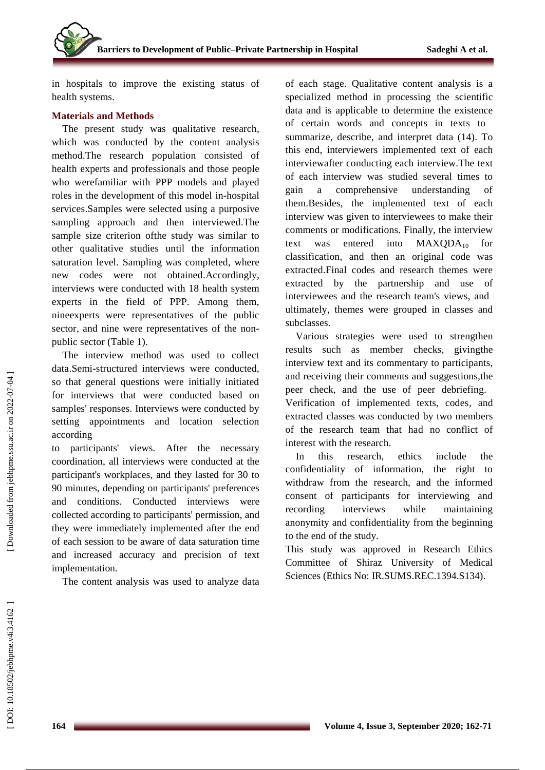in hospital s to improve the existing status of health system s .

## **Materials and Method s**

The present study was qualitative research , which was conducted by the content analysis method.The research population consisted of health experts and professionals and those people who werefamiliar with PPP models and played roles in the development of this model in -hospital services.Samples were selected using a purposive sampling approach and then interviewed.The sample size criterion ofthe study was similar to other qualitative studies until the information saturation level. Sampling was completed , where new codes were not obtained.Accordingly, interviews were conducted with 18 health system experts in the field of PPP. Among them, nineexperts were representatives of the public sector, and nine were representatives of the nonpublic sector (Table 1).

The interview method was used to collect data.Semi -structured interviews were conducted, so that general questions were initially initiated for interviews that were conducted based on samples' responses. Interviews were conducted by setting appointment s and location selection according

to participants' views . After the necessary coordination, all interviews were conducted at the participant's workplace s, and they lasted for 30 to 90 minutes , depending on participants' preferences and conditions . Conducted interviews were collected according to participants' permission , and they were immediately implemented after the end of each session to be aware of data saturation time and increase d accuracy and precision of text implementation.

The content analysis was used to analyze data

of each stage. Qualitative content analysis is a specialized method in processing the scientific data and is applicable to determine the existence of certain words and concepts in text s to summarize, describe , and interpret data (14). To this en d, interviewer s implemented text of each interviewafter conducting each interview . The text of each interview was studied several times to gain a comprehensive understanding of them.Besides, the implemented text of each interview was given to interviewee s to make their comments or modifications. Finally, the interview text was entered into  $MAXQDA_{10}$ classification, and then an original code was extracted.Final codes and research themes were extracted by the partnership and use of interviewees and the research team's views, and ultimately, themes were grouped in classes and subclasses .

Various strategies were used to strengthen results such as member checks, givingthe interview text and its commentary to participants , and receiving their comments and suggestions,the peer check, and the use of peer debriefing. Verification of implemented texts, codes , and extracted classes was conducted by two members of the research team that had no conflict of interest with the research.

In this research, ethics include the confidentiality of information, the right to withdraw from the research, and the informed consent of participants for interviewing and recording interviews while maintaining anonymity and confidentiality from the beginning to the end of the study.

This study was approved in Research Ethics Committee of Shiraz University of Medical Sciences (Ethics No: IR.SUMS.REC.1394.S134).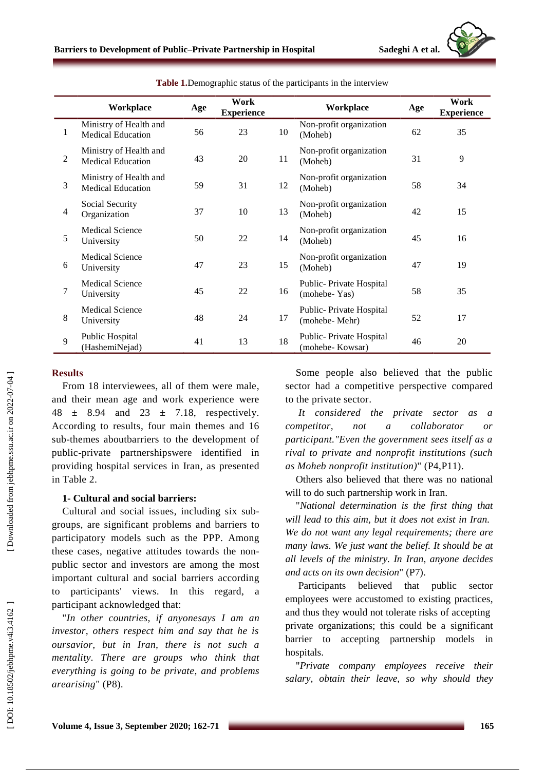

|   | Workplace                                          | Age | Work<br><b>Experience</b> |    | Workplace                                  | Age | Work<br><b>Experience</b> |
|---|----------------------------------------------------|-----|---------------------------|----|--------------------------------------------|-----|---------------------------|
|   | Ministry of Health and<br><b>Medical Education</b> | 56  | 23                        | 10 | Non-profit organization<br>(Moheb)         | 62  | 35                        |
| 2 | Ministry of Health and<br><b>Medical Education</b> | 43  | 20                        | 11 | Non-profit organization<br>(Moheb)         | 31  | 9                         |
| 3 | Ministry of Health and<br><b>Medical Education</b> | 59  | 31                        | 12 | Non-profit organization<br>(Moheb)         | 58  | 34                        |
| 4 | Social Security<br>Organization                    | 37  | 10                        | 13 | Non-profit organization<br>(Moheb)         | 42  | 15                        |
| 5 | <b>Medical Science</b><br>University               | 50  | 22                        | 14 | Non-profit organization<br>(Moheb)         | 45  | 16                        |
| 6 | <b>Medical Science</b><br>University               | 47  | 23                        | 15 | Non-profit organization<br>(Moheb)         | 47  | 19                        |
| 7 | <b>Medical Science</b><br>University               | 45  | 22                        | 16 | Public-Private Hospital<br>(mohebe-Yas)    | 58  | 35                        |
| 8 | <b>Medical Science</b><br>University               | 48  | 24                        | 17 | Public-Private Hospital<br>(mohebe-Mehr)   | 52  | 17                        |
| 9 | Public Hospital<br>(HashemiNejad)                  | 41  | 13                        | 18 | Public-Private Hospital<br>(mohebe-Kowsar) | 46  | 20                        |

**Table 1.**Demographic status of the participants in the interview

#### **Results**

From 18 interviewees, all of them were male , and their mean age and work experience were  $48 \pm 8.94$  and  $23 \pm 7.18$ , respectively. According to results , four main themes and 16 sub -themes aboutbarriers to the development of public -private partnership swere identified in providing hospital services in Iran , as presented in Table 2 .

### **1 - Cultural and social barriers :**

Cultural and social issues , including six sub groups , are significant problems and barriers to participatory models such as the PPP. Among these cases, negative attitudes toward s the non public sector and investors are among the most important cultural and social barrier s according to participants' views this regard, a participant acknowledged that: "*In other countries, if anyonesays I am an* 

*investor, others respect him and say that he is oursavior, but in Iran, there is not such a mentality. There are groups who think that everything is going to be private , and problems arearising*" (P8) .

Some people also believed that the public sector had a competitive perspective compared to the private sector .

*It considered the private sector as a competitor, not a collaborator or participant."Even the government sees itself as a rival to private and nonprofit institutions (such as Moheb nonprofit institution)*" (P4,P11) .

Others also believed that there was no national will to do such partnership work in Iran .

"*National determination is the first thing that will lead to this aim, but it does not exist in Iran. We do not want any legal requirements; there are many law s. We just want the belief. It should be at all levels of the ministry. In Iran, anyone decides and acts on its own decision*" (P7) .

Participants believed that public sector employees were accustomed to existing practices , and thus they would not tolerate risks of accepting private organizations; this could be a significant barrier to accepting partnership models in hospitals. "*Private company employee s receive their*

*salary, obtain their leave, so why should they*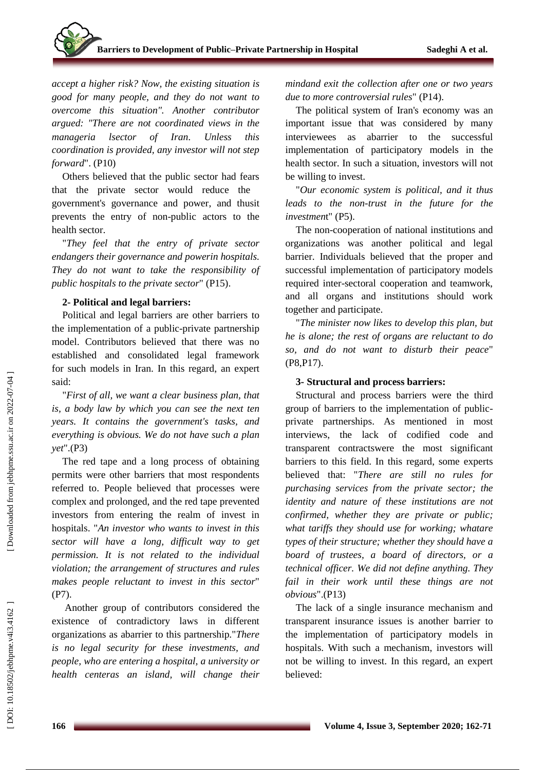*accept a higher risk? Now, the existing situation is good for many people, and they do not want to overcome this situation " . Another contributor argued: "There are not coordinated views in the manageria lsector of Iran. Unless this coordination is provided, any investor will not step forward* " . (P10)

Others believed that the public sector had fears that the private sector would reduce the government's governance and power, and thusit prevents the entry of non -public actors to the health sector.

"*They feel that the entry of private sector endangers their governance and powerin hospital s. They do not want to take the responsibility of public hospitals to the private sector*" (P15) .

## **2 - Political and legal barriers :**

Political and legal barriers are other barrier s to the implementation of a public -private partnership model. Contributors believed that there was no established and consolidated legal framework for such models in Iran . In this regard, an expert

said: "*First of all, we want a clear business plan, that is, a body law by which you can see the next ten years. It contains the government's tasks, and everything is obvious. We do not have such a plan yet* " .(P3)

The red tape and a long process of obtaining permits were other barriers that most respondents referred to. People believed that processes were complex and prolonged, and the red tape prevented investors from entering the realm of invest in hospitals. "*An investor who wants to invest in this sector will have a long , difficult way to get permission. It is not related to the individual violation; the arrangement of structures and rules make s people reluctant to invest in this sector*" (P7) .

Another group of contributors considered the existence of contradictory laws in different organizations as abarrier to this partnership."*There is no legal security for these investments, and people , who are entering a hospital, a university or health centeras an island, will change their* 

*mindand exit the collection after one or two years due to more controversial rules*" (P14) .

The political system of Iran's economy was an important issue that was considered by many interviewees as abarrier to the successful implementation of participatory models in the health sector. In such a situation, investor s will not be willing to invest.

"*Our economic system is political, and it thus leads to the non -trust in the future for the*  investment" (P5).

The non -cooperation of national institutions and organizations was another political and legal barrier . Individuals believed that the proper and successful implementation of participatory models required inter -sectoral cooperation and teamwork, and all organs and institutions should work together and participate.

"*The minister now likes to develop this plan, but he is alone; the rest of organs are reluctant to do so , and do not want to disturb their peace*" (P8,P17) .

## **3 - Structural and process barriers :**

Structural and process barriers were the third group of barriers to the implementation of public private partnership s . As mentioned in most interviews, the lack of codified code and transparent contractswere the most significant barriers to this field . In this regard, some experts believed that: "*There are still no rules for purchasing services from the private sector ; the identity and nature of these institutions are not confirmed, whether they are private or public ; what tariffs they should use for working; whatare types of their structure; whether they should have a board of trustees, a board of directors, or a technical officer. We did not define anything . They fail in their work until these things are not obvious* " .(P13)

The lack of a single insurance mechanism and transparen t insurance issues is another barrier to the implementation of participatory models in hospital s . With such a mechanism, investor s will not be willing to invest. In this regard, an expert believed: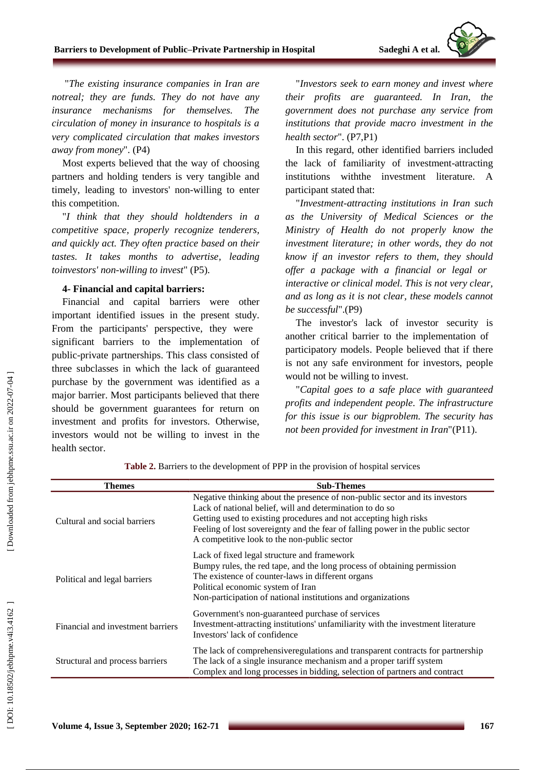

"*The existing insurance companies in Iran are notreal; they are funds. They do not have any insurance mechanisms for themselves. The circulation of money in insurance to hospitals is a very complicated circulation that make s investors away from money* " . (P4)

Most experts believed that the way of choosing partners and holding tenders is very tangible and timely , leading to investors' non -willing to enter this competition.

"*I think that they should holdtenders in a competitive space, properly recognize tenderers, and quickly act . They often practice based on their tastes . It takes months to advertise , leading toinvestors' non -willing to invest*" (P5) .

#### **4 - Financial and capital barriers :**

Financial and capital barriers were other important identified issues in the present study. From the participants' perspective, they were significant barrier s to the implementation of public -private partnership s . This class consisted of three subclasses in which the lack of guaranteed purchase by the government was identified as a major barrier . Most participants believed that there should be government guarantees for return on investment and profits for investor s. Otherwise , investor s would not be willing to invest in the health sector .

" *Investors seek to earn money and invest where their profits are guaranteed. In Iran, the government does not purchase any service from institutions that provide macro investment in the*  health sector". (P7,P1)

In this regard, other identified barriers include d the lack of familiarity of investment -attracting institutions withthe investment literature. A participant stated that :

"*Investment -attracting institutions in Iran such as the University of Medical Sciences or the Ministry of Health do not properly know the investment literature; in other words, they do not know if an investor refers to them, they should offer a package with a financial or legal or interactive or clinical model. This is not very clear, and as long as it is not clear, these models cannot be successful* " .(P9)

The investor's lack of investor security is another critical barrier to the implementation of participatory models . People believed that if there is not any safe environment for investor s, people would not be willing to invest.

"*Capital goes to a safe place with guaranteed profits and independent people. The infrastructure for this issue is our bigproblem. The security has not been provided for investment in Iran*"(P11) .

**Themes -Themes** Cultural and social barriers Negative thinking about the presence of non -public sector and its investors Lack of national belief, will and determination to do so Getting used to existing procedures and not accepting high risks Feeling of lost sovereignty and the fear of falling power in the public sector A competitive look to the non -public sector Political and legal barriers Lack of fixed legal structure and framework Bumpy rules, the red tape, and the long process of obtaining permission The existence of counter -laws in different organs Political economic system of Iran Non -participation of national institutions and organizations Financial and investment barriers Government's non -guaranteed purchase of services Investment -attracting institutions' unfamiliarity with the investment literature Investors' lack of confidence Structural and process barriers The lack of comprehensiveregulations and transparent contracts for partnership The lack of a single insurance mechanism and a proper tariff system Complex and long processes in bidding, selection of partners and contract

**Table 2 .** Barriers to the development of PP P in the provision of hospital services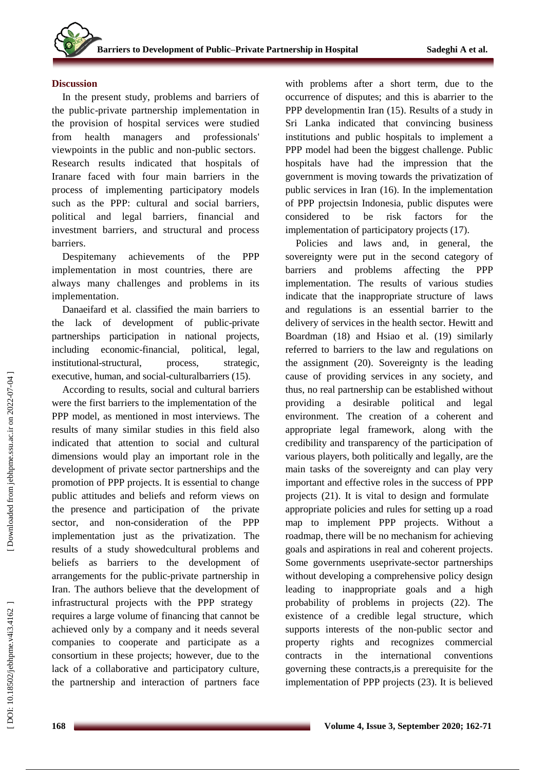### **Discussion**

In the present study, problems and barriers of the public -private partnership implementation in the provision of hospital services were studied from health managers and professionals' viewpoint s in the public and non -public sector s . Research results indicated that hospitals of Iranare faced with four main barriers in the process of implementing participatory models such as the PPP: cultural and social barriers, political and legal barriers, financial and investment barriers, and structural and process barriers.

Despitemany achievements of the PPP implementation in most countries, there are always many challenges and problems in its implementation .

Danaeifard et al. classified the main barriers to the lack of development of public -private partnership s participation in national projects , including economic -financial, political, legal, institutional-structural. process, strategic, executive, human, and social-culturalbarriers (15).

According to results, social and cultural barriers were the first barrier s to the implementation of the PPP model , as mentioned in most interviews . The results of many similar studies in this field also indicate d that attention to social and cultural dimensions would play an important role in the development of private sector partnership s and the promotion of PPP projects. It is essential to change public attitudes and beliefs and reform views on the presence and participation of the private sector , and non -consideration of the PPP implementation just as the privatization . The results of a study showedcultural problems and beliefs as barriers to the development of arrangements for the public -private partnership in Iran . The authors believe that the development of infrastructural projects with the PPP strategy requires a large volume of financing that cannot be achieved only by a company and it needs several companies to cooperate and participate as a consortium in these projects; however, due to the lack of a collaborative and participatory culture, the partnership and interaction of partners face

with problems after a short term, due to the occurrence of disputes; and this is abarrier to the PPP developmentin Iran (15). Results of a study in Sri Lanka indicated that convincing business institutions and public hospitals to implement a PPP model had been the biggest challenge. Public hospitals have had the impression that the government is moving towards the privatization of public services in Iran (16). In the implementation of PPP projectsin Indonesia, public disputes were considered to be risk factors for the implementation of participatory projects (17).

Policies and laws and, in general, the sovereignty were put in the second category of barriers and problems affecting the PPP implementation. The results of various studies indicate that the inappropriate structure of laws and regulations is an essential barrier to the delivery of services in the health sector. Hewitt and Boardman (18) and Hsiao et al. (19) similarly referred to barriers to the law and regulation s on the assignment (20). Sovereignty is the leading cause of providing services in any society, and thus, no real partnership can be established without providing a desirable political and legal environment. The creation of a coherent and appropriate legal framework , along with the credibility and transparency of the participation of various players, both politically and legally, are the main tasks of the sovereignty and can play very important and effective role s in the success of PPP projects (21). It is vital to design and formulate appropriate policies and rules for setting up a road map to implement PPP projects. Without a roadmap, there will be no mechanism for achieving goals and aspirations in real and coherent projects. Some governments useprivate-sector partnerships without developing a comprehensive policy design leading to inappropriate goals and a high probability of problems in projects (22). The existence of a credible legal structure, which supports interests of the non -public sector and property rights and recognizes commercial contracts in the international conventions governing these contracts,is a prerequisite for the implementation of PPP projects (23). It is believed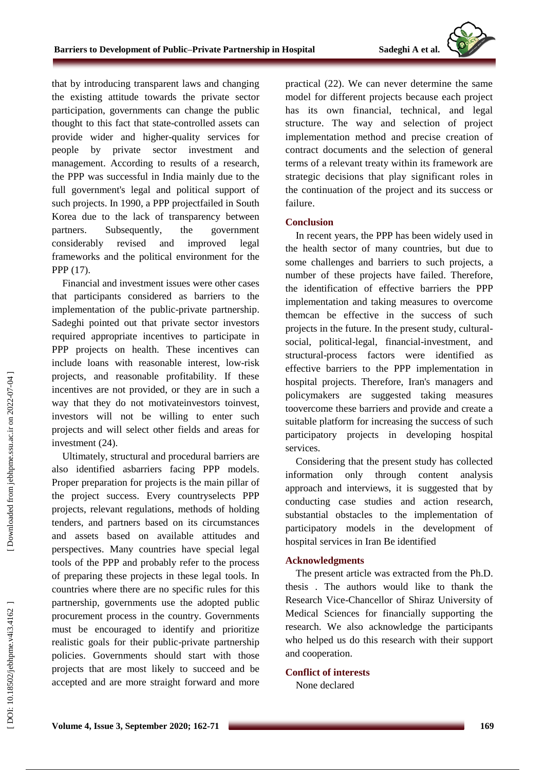that by introducing transparent laws and changing the existing attitude towards the private sector participation, governments can change the public thought to this fact that state -controlled assets can provide wider and higher -quality services for people by private sector investment and management. According to results of a research, the PPP was successful in India mainly due to the full government's legal and political support of such projects. In 1990 , a PPP projectfailed in South Korea due to the lack of transparency between partners. Subsequently, the government considerably revised and improved legal framework s and the political environment for the PPP (17).

Financial and investment issues were other cases that participants considered as barriers to the implementation of the public -private partnership. Sadeghi pointed out that private sector investors required appropriate incentives to participate in PPP projects on health. These incentives can include loans with reasonable interest, low -risk projects, and reasonable profitability. If these incentives are not provided , or they are in such a way that they do not motivateinvestors toinvest, investor s will not be willing to enter such projects and will select other fields and areas for investment (24 ).

Ultimately, structural and procedural barriers are also identified asbarriers facing PPP models. Proper preparation for project s is the main pillar of the project success. Every countryselect s PPP projects, relevant regulations, method s of holding tenders , and partners based on it s circumstances and assets based on available attitudes and perspectives. Many countries have special legal tools of the PPP and probably refer to the process of preparing these projects in these legal tools. In countries where there are no specific rules for this partnership, governments us e the adopted public procurement process in the country. Governments must be encouraged to identify and prioritize realistic goals for their public -private partnership policies. Governments should start with those projects that are most likely to succeed and be accepted and are more straight forward and more

practical (22). We can never determine the same model for different projects because each project has its own financial, technical , and legal structure. The way and selection of project implementation method and precise creation of contract documents and the selection of general terms of a relevant treaty within its framework are strategic decisions that play significant roles in the continuation of the project and its success or failure.

## **Conclusion**

In recent years, the PPP has been widely used in the health sector of many countries, but due to some challenges and barriers to such projects, a number of these projects have failed. Therefore, the identification of effective barriers the PPP implementation and taking measures to overcome themcan be effective in the success of such projects in the future. In the present study, cultural social, political -legal, financial -investment, and structural -process factors were identified as effective barriers to the PPP implementation in hospital projects. Therefore, Iran's managers and policymakers are suggested taking measures toovercome these barriers and provide and create a suitable platform for increasing the success of such participatory projects in developing hospital services.

Considering that the present study has collected information only through content analysis approach and interviews, it is suggested that by conducting case studies and action research, substantial obstacles to the implementation of participatory models in the development of hospital services in Iran Be identified

## **Acknowledgments**

The present article was extracted from the Ph.D. thesis . The authors would like to thank the Research Vice -Chancellor of Shiraz University of Medical Sciences for financially supporting the research. We also acknowledge the participants who helped us do this research with their support and cooperation.

## **Conflict of interests**

None declared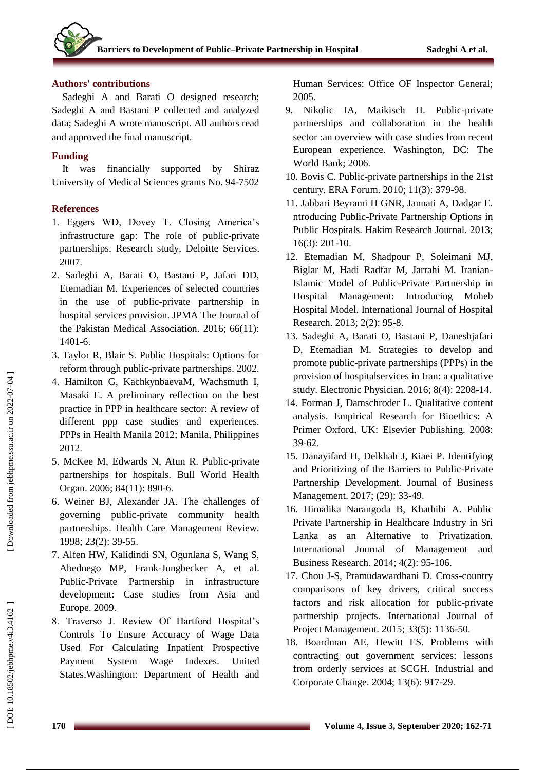## **Authors' contributions**

Sadeghi A and Barati O designed research; Sadeghi A and Bastani P collected and analyzed data; Sadeghi A wrote manuscript. All authors read and approved the final manuscript.

## **Funding**

It was financially supported by Shiraz University of Medical Sciences grants No. 94 -7502

## **References**

- 1. Eggers WD, Dovey T. Closing America's infrastructure gap: The role of public -private partnerships. Research study, Deloitte Services. 2007 .
- 2. Sadeghi A, Barati O, Bastani P, Jafari DD, Etemadian M. Experiences of selected countries in the use of public -private partnership in hospital services provision. JPMA The Journal of the Pakistan Medical Association. 2016; 66(11): 1401 - 6 .
- 3. Taylor R, Blair S. Public Hospitals: Options for reform through public -private partnerships. 2002 .
- 4. Hamilton G, KachkynbaevaM, Wachsmuth I, Masaki E. A preliminary reflection on the best practice in PPP in healthcare sector: A review of different ppp case studies and experiences. PPPs in Health Manila 2012; Manila, Philippines 2012 .
- 5. McKee M, Edwards N, Atun R. Public -private partnerships for hospitals. Bull World Health Organ. 2006; 84(11): 890-6.
- 6. Weiner BJ, Alexander JA. The challenges of governing public -private community health partnerships. Health Care Management Review. 1998; 23(2): 39 -55 .
- 7. Alfen HW, Kalidindi SN, Ogunlana S, Wang S, Abednego MP, Frank -Jungbecker A, et al. Public -Private Partnership in infrastructure development: Case studies from Asia and Europe. 2009 .
- 8. Traverso J. Review Of Hartford Hospital's Controls To Ensure Accuracy of Wage Data Used For Calculating Inpatient Prospective Payment System Wage Indexes. United States.Washington: Department of Health and

Human Services: Office OF Inspector General; 2005 .

- 9. Nikolic IA, Maikisch H. Public -private partnerships and collaboration in the health sector :an overview with case studies from recent European experience. Washington, DC: The World Bank; 2006 .
- 10. Bovis C. Public -private partnerships in the 21st century. ERA Forum. 2010; 11(3): 379 -98 .
- 11. Jabbari Beyrami H GNR, Jannati A, Dadgar E. ntroducing Public -Private Partnership Options in Public Hospitals. Hakim Research Journal. 2013; 16(3): 201 -10 .
- 12. Etemadian M, Shadpour P, Soleimani MJ, Biglar M, Hadi Radfar M, Jarrahi M. Iranian - Islamic Model of Public -Private Partnership in Hospital Management: Introducing Moheb Hospital Model. International Journal of Hospital Research. 2013; 2(2): 95-8.
- 13. Sadeghi A, Barati O, Bastani P, Daneshjafari D, Etemadian M. Strategies to develop and promote public -private partnerships (PPPs) in the provision of hospitalservices in Iran: a qualitative study. Electronic Physician. 2016; 8(4): 2208 -14 .
- 14. Forman J, Damschroder L. Qualitative content analysis. Empirical Research for Bioethics: A Primer Oxford, UK: Elsevier Publishing. 2008: 39 -62 .
- 15. Danayifard H, Delkhah J, Kiaei P. Identifying and Prioritizing of the Barriers to Public -Private Partnership Development. Journal of Business Management. 2017; (29): 33-49.
- 16. Himalika Narangoda B, Khathibi A. Public Private Partnership in Healthcare Industry in Sri Lanka as an Alternative to Privatization. International Journal of Management and Business Research. 2014; 4(2): 95 -106 .
- 17. Chou J -S, Pramudawardhani D. Cross -country comparisons of key drivers, critical success factors and risk allocation for public -private partnership projects. International Journal of Project Management. 2015; 33(5): 1136-50.
- 18. Boardman AE, Hewitt ES. Problems with contracting out government services: lessons from orderly services at SCGH. Industrial and Corporate Change. 2004; 13(6) : 917 -29 .

DOI: 10.18502/jebhpme.v4i3.4162